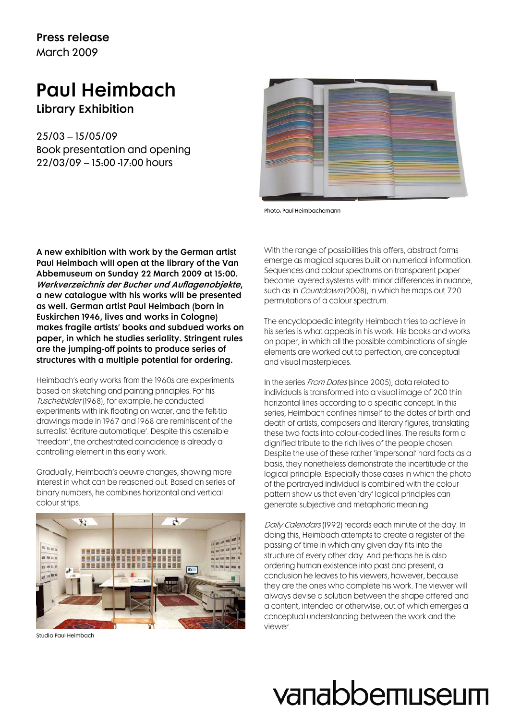### Press release March 2009

### Paul Heimbach

Library Exhibition

25/03 – 15/05/09 Book presentation and opening 22/03/09 – 15:00 -17:00 hours



Photo: Paul Heimbachemann

A new exhibition with work by the German artist Paul Heimbach will open at the library of the Van Abbemuseum on Sunday 22 March 2009 at 15:00. Werkverzeichnis der Bucher und Auflagenobjekte, a new catalogue with his works will be presented as well. German artist Paul Heimbach (born in Euskirchen 1946, lives and works in Cologne) makes fragile artists' books and subdued works on paper, in which he studies seriality. Stringent rules are the jumping-off points to produce series of structures with a multiple potential for ordering.

Heimbach's early works from the 1960s are experiments based on sketching and painting principles. For his Tuschebilder (1968), for example, he conducted experiments with ink floating on water, and the felt-tip drawings made in 1967 and 1968 are reminiscent of the surrealist 'écriture automatique'. Despite this ostensible 'freedom', the orchestrated coincidence is already a controlling element in this early work.

Gradually, Heimbach's oeuvre changes, showing more interest in what can be reasoned out. Based on series of binary numbers, he combines horizontal and vertical colour strips.



Studio Paul Heimbach

With the range of possibilities this offers, abstract forms emerge as magical squares built on numerical information. Sequences and colour spectrums on transparent paper become layered systems with minor differences in nuance, such as in *Countdown* (2008), in which he maps out 720 permutations of a colour spectrum.

The encyclopaedic integrity Heimbach tries to achieve in his series is what appeals in his work. His books and works on paper, in which all the possible combinations of single elements are worked out to perfection, are conceptual and visual masterpieces.

In the series *From Dates* (since 2005), data related to individuals is transformed into a visual image of 200 thin horizontal lines according to a specific concept. In this series, Heimbach confines himself to the dates of birth and death of artists, composers and literary figures, translating these two facts into colour-coded lines. The results form a dignified tribute to the rich lives of the people chosen. Despite the use of these rather 'impersonal' hard facts as a basis, they nonetheless demonstrate the incertitude of the logical principle. Especially those cases in which the photo of the portrayed individual is combined with the colour pattern show us that even 'dry' logical principles can generate subjective and metaphoric meaning.

Daily Calendars (1992) records each minute of the day. In doing this, Heimbach attempts to create a register of the passing of time in which any given day fits into the structure of every other day. And perhaps he is also ordering human existence into past and present, a conclusion he leaves to his viewers, however, because they are the ones who complete his work. The viewer will always devise a solution between the shape offered and a content, intended or otherwise, out of which emerges a conceptual understanding between the work and the viewer.

# vanabbemuseum